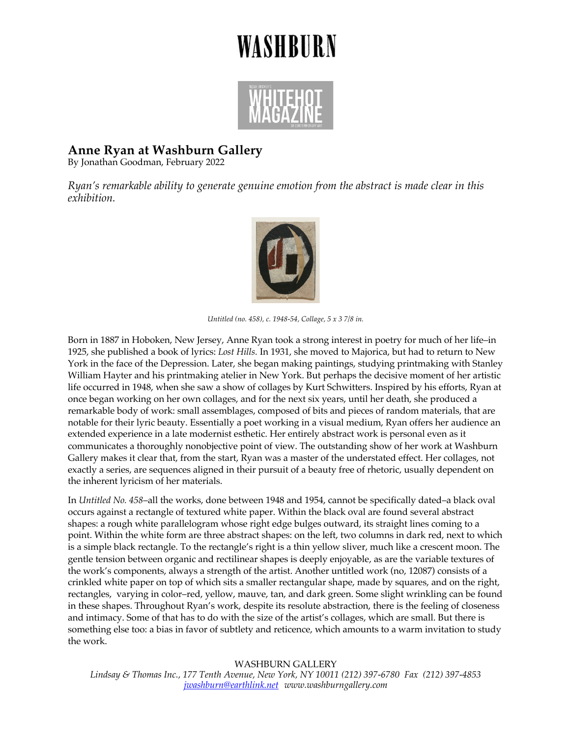## WASHBURN



## **Anne Ryan at Washburn Gallery**

By Jonathan Goodman, February 2022

*Ryan's remarkable ability to generate genuine emotion from the abstract is made clear in this exhibition.*



*Untitled (no. 458), c. 1948-54, Collage, 5 x 3 7/8 in.*

Born in 1887 in Hoboken, New Jersey, Anne Ryan took a strong interest in poetry for much of her life–in 1925, she published a book of lyrics: *Lost Hills.* In 1931, she moved to Majorica, but had to return to New York in the face of the Depression. Later, she began making paintings, studying printmaking with Stanley William Hayter and his printmaking atelier in New York. But perhaps the decisive moment of her artistic life occurred in 1948, when she saw a show of collages by Kurt Schwitters. Inspired by his efforts, Ryan at once began working on her own collages, and for the next six years, until her death, she produced a remarkable body of work: small assemblages, composed of bits and pieces of random materials, that are notable for their lyric beauty. Essentially a poet working in a visual medium, Ryan offers her audience an extended experience in a late modernist esthetic. Her entirely abstract work is personal even as it communicates a thoroughly nonobjective point of view. The outstanding show of her work at Washburn Gallery makes it clear that, from the start, Ryan was a master of the understated effect. Her collages, not exactly a series, are sequences aligned in their pursuit of a beauty free of rhetoric, usually dependent on the inherent lyricism of her materials.

In *Untitled No. 458*–all the works, done between 1948 and 1954, cannot be specifically dated–a black oval occurs against a rectangle of textured white paper. Within the black oval are found several abstract shapes: a rough white parallelogram whose right edge bulges outward, its straight lines coming to a point. Within the white form are three abstract shapes: on the left, two columns in dark red, next to which is a simple black rectangle. To the rectangle's right is a thin yellow sliver, much like a crescent moon. The gentle tension between organic and rectilinear shapes is deeply enjoyable, as are the variable textures of the work's components, always a strength of the artist. Another untitled work (no, 12087) consists of a crinkled white paper on top of which sits a smaller rectangular shape, made by squares, and on the right, rectangles, varying in color–red, yellow, mauve, tan, and dark green. Some slight wrinkling can be found in these shapes. Throughout Ryan's work, despite its resolute abstraction, there is the feeling of closeness and intimacy. Some of that has to do with the size of the artist's collages, which are small. But there is something else too: a bias in favor of subtlety and reticence, which amounts to a warm invitation to study the work.

WASHBURN GALLERY *Lindsay & Thomas Inc., 177 Tenth Avenue, New York, NY 10011 (212) 397-6780 Fax (212) 397-4853 jwashburn@earthlink.net www.washburngallery.com*